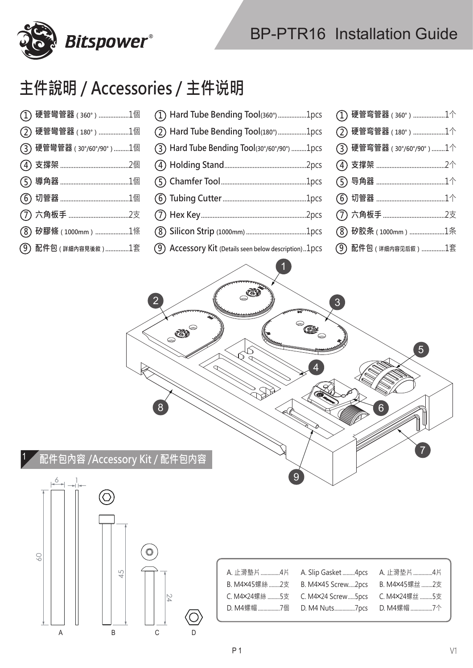

## **主件說明 / Accessories / 主件说明**

**Bitspower®** 

| <i>(</i> 1) 硬管彎管器 (360°) 1個 | (1) Hard Tube Bending Tool(360°)1pcs                   | $\Gamma$ ) 硬管弯管器 (360°) 1个 |
|-----------------------------|--------------------------------------------------------|----------------------------|
| (2) 硬管彎管器(180°) 1個          | (2) Hard Tube Bending Tool(180°)1pcs                   | (2) 硬管弯管器 (180°) 1个        |
| (3) 硬管彎管器 (30°/60°/90°) 1個  | (3) Hard Tube Bending Tool(30°/60°/90°) 1pcs           | (3) 硬管弯管器 (30°/60°/90°) 1个 |
|                             |                                                        |                            |
|                             |                                                        |                            |
|                             |                                                        |                            |
|                             |                                                        |                            |
| <b>(8)矽膠條</b> (1000mm)1條    |                                                        | (8) 矽胶条 (1000mm) 1条        |
| $(9)$ 配件包 (詳細內容見後敘 ) 1套     | (9) Accessory Kit (Details seen below description)1pcs | (9) 配件包 (详细内容见后叙) 1套       |
|                             | 63<br>$\overline{2}$<br><b>RED</b><br>$\bigcirc$       | $\mathbf{3}$               |

<sup>1</sup> **配件包內容 /Accessory Kit / 配件包内容**

8



| A. 止滑墊片 4片 A. Slip Gasket 4pcs A. 止滑垫片 4片       |  |
|-------------------------------------------------|--|
| B. M4×45螺絲 2支 B. M4×45 Screw2pcs B. M4×45螺丝 2支  |  |
| C. M4×24螺絲 5支 C. M4×24 Screw 5pcs C. M4×24螺丝 5支 |  |
| D. M4螺帽 7個  D. M4 Nuts7pcs  D. M4螺帽 7个          |  |

4

9

5

7

6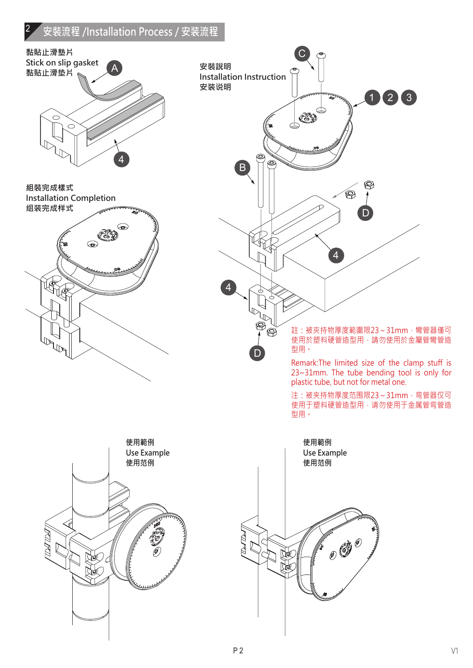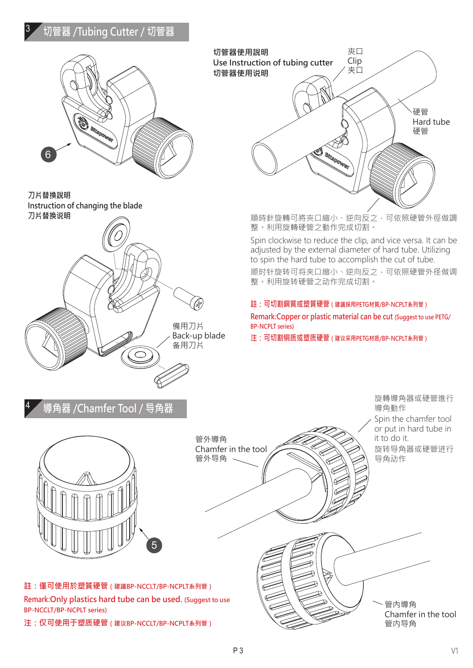## <sup>3</sup> **切管器 /Tubing Cutter / 切管器**



**刀片替換說明 Instruction of changing the blade 刀片替换说明**





順時針旋轉可將夾口縮小、逆向反之,可依照硬管外徑做調 整。利用旋轉硬管之動作完成切割。

Spin clockwise to reduce the clip, and vice versa. It can be adjusted by the external diameter of hard tube. Utilizing to spin the hard tube to accomplish the cut of tube.

顺时针旋转可将夹口缩小、逆向反之,可依照硬管外径做调 整。利用旋转硬管之动作完成切割。

## **註:可切割銅質或塑質硬管(建議採用PETG材質/BP-NCPLT系列管)**

**Remark:Copper or plastic material can be cut (Suggest to use PETG/ BP-NCPLT series)**

**注:可切割铜质或塑质硬管(建议采用PETG材质/BP-NCPLT系列管)**